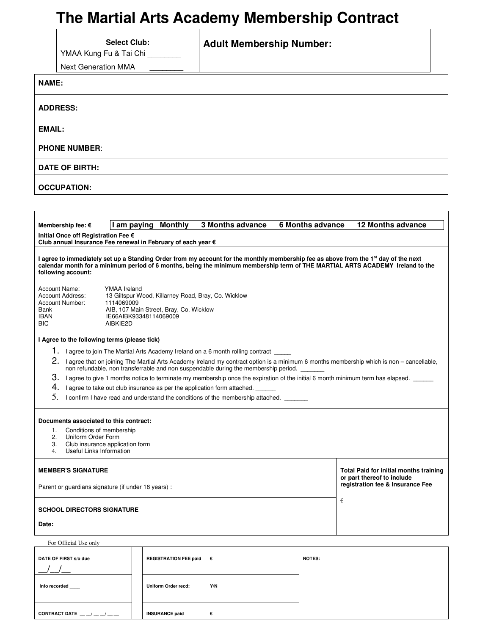# **The Martial Arts Academy Membership Contract**

|                                                                                                                                                                                                                                                                                                                                                                                                                                                                                                                                                                                                                                                                                                  | YMAA Kung Fu & Tai Chi<br><b>Next Generation MMA</b>     | <b>Select Club:</b> | <b>Adult Membership Number:</b> |  |                         |  |                                                                                                                 |                          |
|--------------------------------------------------------------------------------------------------------------------------------------------------------------------------------------------------------------------------------------------------------------------------------------------------------------------------------------------------------------------------------------------------------------------------------------------------------------------------------------------------------------------------------------------------------------------------------------------------------------------------------------------------------------------------------------------------|----------------------------------------------------------|---------------------|---------------------------------|--|-------------------------|--|-----------------------------------------------------------------------------------------------------------------|--------------------------|
| <b>NAME:</b>                                                                                                                                                                                                                                                                                                                                                                                                                                                                                                                                                                                                                                                                                     |                                                          |                     |                                 |  |                         |  |                                                                                                                 |                          |
| <b>ADDRESS:</b>                                                                                                                                                                                                                                                                                                                                                                                                                                                                                                                                                                                                                                                                                  |                                                          |                     |                                 |  |                         |  |                                                                                                                 |                          |
| EMAIL:                                                                                                                                                                                                                                                                                                                                                                                                                                                                                                                                                                                                                                                                                           |                                                          |                     |                                 |  |                         |  |                                                                                                                 |                          |
| <b>PHONE NUMBER:</b>                                                                                                                                                                                                                                                                                                                                                                                                                                                                                                                                                                                                                                                                             |                                                          |                     |                                 |  |                         |  |                                                                                                                 |                          |
| DATE OF BIRTH:                                                                                                                                                                                                                                                                                                                                                                                                                                                                                                                                                                                                                                                                                   |                                                          |                     |                                 |  |                         |  |                                                                                                                 |                          |
| <b>OCCUPATION:</b>                                                                                                                                                                                                                                                                                                                                                                                                                                                                                                                                                                                                                                                                               |                                                          |                     |                                 |  |                         |  |                                                                                                                 |                          |
|                                                                                                                                                                                                                                                                                                                                                                                                                                                                                                                                                                                                                                                                                                  |                                                          |                     |                                 |  |                         |  |                                                                                                                 |                          |
|                                                                                                                                                                                                                                                                                                                                                                                                                                                                                                                                                                                                                                                                                                  | Membership fee: €<br>Initial Once off Registration Fee € | I am paying         | <b>Monthly</b>                  |  | <b>3 Months advance</b> |  | 6 Months advance                                                                                                | <b>12 Months advance</b> |
| Club annual Insurance Fee renewal in February of each year €<br>I agree to immediately set up a Standing Order from my account for the monthly membership fee as above from the 1 <sup>st</sup> day of the next<br>calendar month for a minimum period of 6 months, being the minimum membership term of THE MARTIAL ARTS ACADEMY Ireland to the<br>following account:<br>Account Name:<br><b>YMAA</b> Ireland<br><b>Account Address:</b><br>13 Giltspur Wood, Killarney Road, Bray, Co. Wicklow<br>Account Number:<br>1114069009<br>Bank<br>AIB, 107 Main Street, Bray, Co. Wicklow<br>IE66AIBK93348114069009<br><b>IBAN</b><br>BIC<br>AIBKIE2D<br>I Agree to the following terms (please tick) |                                                          |                     |                                 |  |                         |  |                                                                                                                 |                          |
| 1. I agree to join The Martial Arts Academy Ireland on a 6 month rolling contract _____<br>2. I agree that on joining The Martial Arts Academy Ireland my contract option is a minimum 6 months membership which is non - cancellable,<br>non refundable, non transferrable and non suspendable during the membership period.<br>$3.$ I agree to give 1 months notice to terminate my membership once the expiration of the initial 6 month minimum term has elapsed.<br>$4.$ I agree to take out club insurance as per the application form attached.<br>5. I confirm I have read and understand the conditions of the membership attached. ______                                              |                                                          |                     |                                 |  |                         |  |                                                                                                                 |                          |
| Documents associated to this contract:<br>Conditions of membership<br>1.<br>Uniform Order Form<br>2.<br>Club insurance application form<br>3.<br>Useful Links Information<br>4.                                                                                                                                                                                                                                                                                                                                                                                                                                                                                                                  |                                                          |                     |                                 |  |                         |  |                                                                                                                 |                          |
| <b>MEMBER'S SIGNATURE</b><br>Parent or guardians signature (if under 18 years) :                                                                                                                                                                                                                                                                                                                                                                                                                                                                                                                                                                                                                 |                                                          |                     |                                 |  |                         |  | <b>Total Paid for initial months training</b><br>or part thereof to include<br>registration fee & Insurance Fee |                          |
| <b>SCHOOL DIRECTORS SIGNATURE</b><br>Date:                                                                                                                                                                                                                                                                                                                                                                                                                                                                                                                                                                                                                                                       |                                                          |                     |                                 |  |                         |  | €                                                                                                               |                          |
| For Official Use only                                                                                                                                                                                                                                                                                                                                                                                                                                                                                                                                                                                                                                                                            |                                                          |                     |                                 |  |                         |  |                                                                                                                 |                          |
| DATE OF FIRST s/o due                                                                                                                                                                                                                                                                                                                                                                                                                                                                                                                                                                                                                                                                            |                                                          |                     | <b>REGISTRATION FEE paid</b>    |  | €                       |  | <b>NOTES:</b>                                                                                                   |                          |

Info recorded \_\_\_\_ **Inform Order recd:** Y/N  $\begin{array}{|c|c|c|c|c|}\n\hline\n\textbf{CONTRACT DATA} & \textbf{L} & \textbf{L} & \textbf{R} & \textbf{R} \\
\hline\n\end{array}$